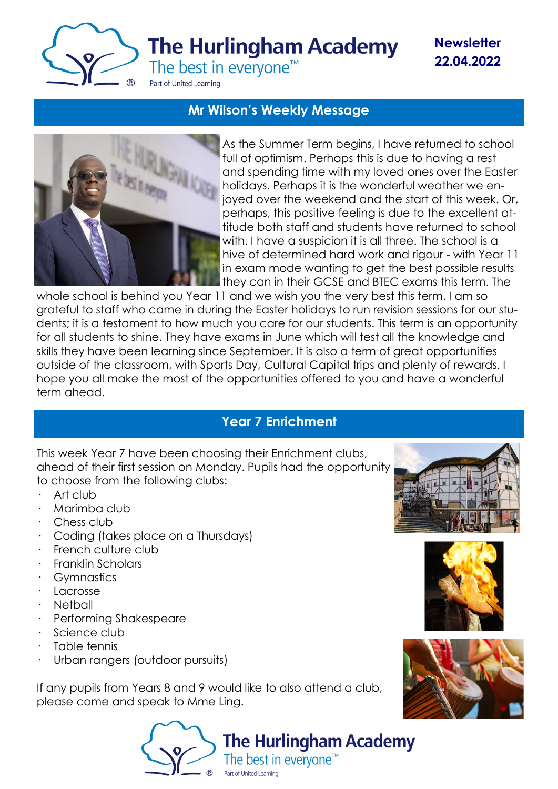

**Newsletter 22.04.2022**

## **Mr Wilson's Weekly Message**



As the Summer Term begins, I have returned to school full of optimism. Perhaps this is due to having a rest and spending time with my loved ones over the Easter holidays. Perhaps it is the wonderful weather we enjoyed over the weekend and the start of this week. Or, perhaps, this positive feeling is due to the excellent attitude both staff and students have returned to school with. I have a suspicion it is all three. The school is a hive of determined hard work and rigour - with Year 11 in exam mode wanting to get the best possible results they can in their GCSE and BTEC exams this term. The

whole school is behind you Year 11 and we wish you the very best this term. I am so grateful to staff who came in during the Easter holidays to run revision sessions for our students; it is a testament to how much you care for our students. This term is an opportunity for all students to shine. They have exams in June which will test all the knowledge and skills they have been learning since September. It is also a term of great opportunities outside of the classroom, with Sports Day, Cultural Capital trips and plenty of rewards. I hope you all make the most of the opportunities offered to you and have a wonderful term ahead.

# **Year 7 Enrichment**

This week Year 7 have been choosing their Enrichment clubs, ahead of their first session on Monday. Pupils had the opportunity to choose from the following clubs:

- Art club
- · Marimba club
- · Chess club
- · Coding (takes place on a Thursdays)
- · French culture club
- · Franklin Scholars
- · Gymnastics
- · Lacrosse
- · Netball
- · Performing Shakespeare
- Science club
- Table tennis
- Urban rangers (outdoor pursuits)

If any pupils from Years 8 and 9 would like to also attend a club, please come and speak to Mme Ling.







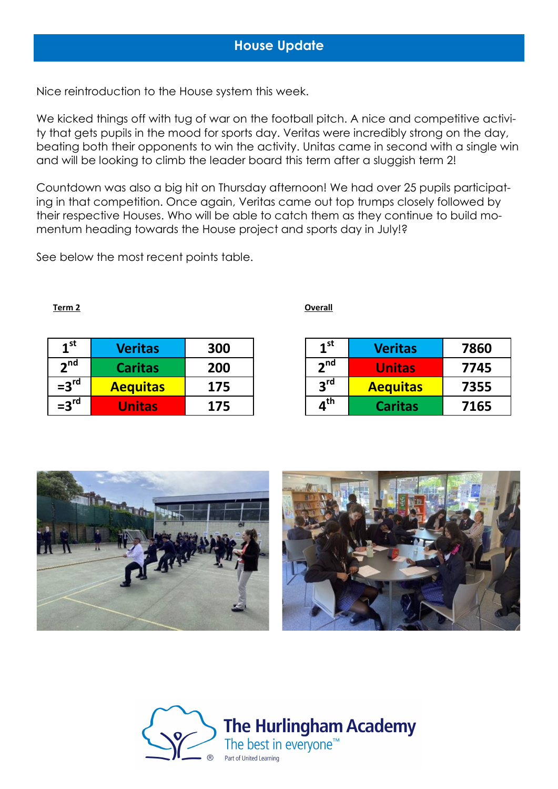Nice reintroduction to the House system this week.

We kicked things off with tug of war on the football pitch. A nice and competitive activity that gets pupils in the mood for sports day. Veritas were incredibly strong on the day, beating both their opponents to win the activity. Unitas came in second with a single win and will be looking to climb the leader board this term after a sluggish term 2!

Countdown was also a big hit on Thursday afternoon! We had over 25 pupils participating in that competition. Once again, Veritas came out top trumps closely followed by their respective Houses. Who will be able to catch them as they continue to build momentum heading towards the House project and sports day in July!?

See below the most recent points table.

#### **Term 2 Overall**

| 1 <sup>st</sup> | <b>Veritas</b>  | 300 |
|-----------------|-----------------|-----|
| 2 <sup>nd</sup> | <b>Caritas</b>  | 200 |
| $=3rd$          | <b>Aequitas</b> | 175 |
| $=3rd$          | <b>Unitas</b>   | 175 |

| 1 <sup>st</sup>                | <b>Veritas</b>  | 7860 |
|--------------------------------|-----------------|------|
| 2 <sup>nd</sup>                | <b>Unitas</b>   | 7745 |
| 2 <sup>rd</sup>                | <b>Aequitas</b> | 7355 |
| $\boldsymbol{a}^{\textsf{th}}$ | <b>Caritas</b>  | 7165 |





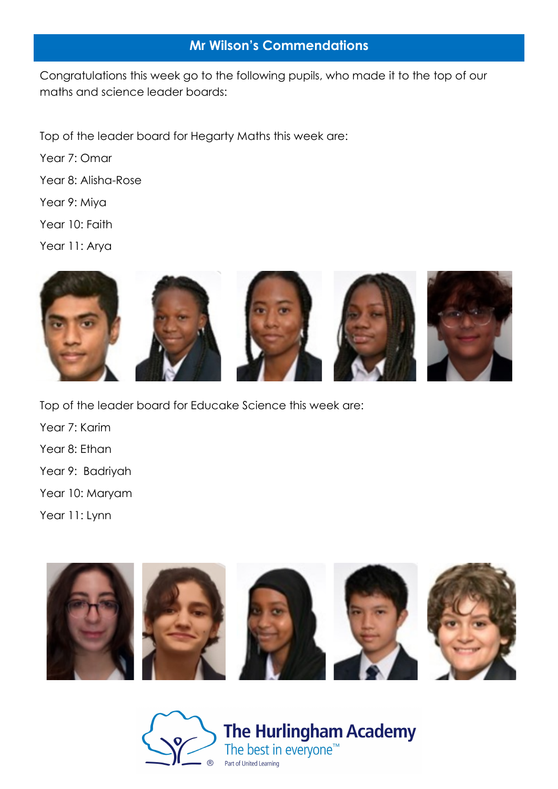### **Mr Wilson's Commendations**

Congratulations this week go to the following pupils, who made it to the top of our maths and science leader boards:

Top of the leader board for Hegarty Maths this week are:

Year 7: Omar

Year 8: Alisha-Rose

Year 9: Miya

Year 10: Faith

Year 11: Arya



Top of the leader board for Educake Science this week are: Year 7: Karim Year 8: Ethan Year 9: Badriyah Year 10: Maryam Year 11: Lynn